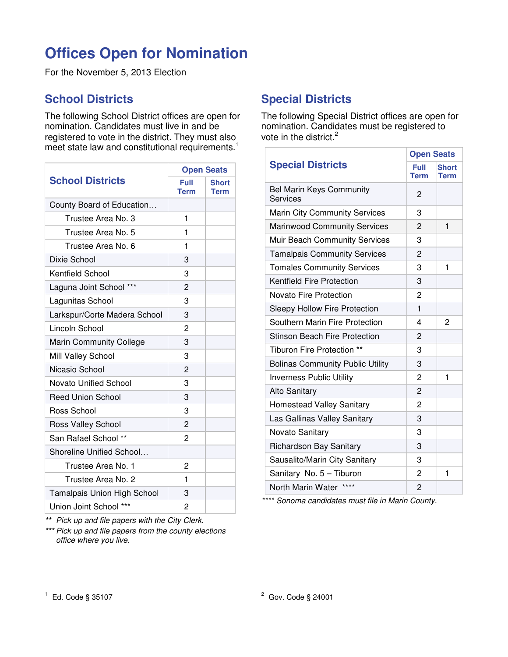## **Offices Open for Nomination**

For the November 5, 2013 Election

## **School Districts**

The following School District offices are open for nomination. Candidates must live in and be registered to vote in the district. They must also meet state law and constitutional requirements.<sup>1</sup>

| <b>School Districts</b>        | <b>Open Seats</b> |                      |
|--------------------------------|-------------------|----------------------|
|                                | Full<br>Term      | <b>Short</b><br>Term |
| County Board of Education      |                   |                      |
| Trustee Area No. 3             | 1                 |                      |
| Trustee Area No. 5             | 1                 |                      |
| Trustee Area No. 6             | 1                 |                      |
| Dixie School                   | 3                 |                      |
| <b>Kentfield School</b>        | 3                 |                      |
| Laguna Joint School ***        | 2                 |                      |
| Lagunitas School               | 3                 |                      |
| Larkspur/Corte Madera School   | 3                 |                      |
| Lincoln School                 | 2                 |                      |
| <b>Marin Community College</b> | 3                 |                      |
| Mill Valley School             | 3                 |                      |
| Nicasio School                 | $\overline{c}$    |                      |
| <b>Novato Unified School</b>   | 3                 |                      |
| <b>Reed Union School</b>       | 3                 |                      |
| Ross School                    | 3                 |                      |
| Ross Valley School             | 2                 |                      |
| San Rafael School **           | 2                 |                      |
| Shoreline Unified School       |                   |                      |
| Trustee Area No. 1             | 2                 |                      |
| Trustee Area No. 2             | 1                 |                      |
| Tamalpais Union High School    | 3                 |                      |
| Union Joint School ***         | 2                 |                      |

\*\* Pick up and file papers with the City Clerk.

\*\*\* Pick up and file papers from the county elections office where you live.

## **Special Districts**

The following Special District offices are open for nomination. Candidates must be registered to vote in the district.<sup>2</sup>

|                                             | <b>Open Seats</b>   |                      |
|---------------------------------------------|---------------------|----------------------|
| <b>Special Districts</b>                    | Full<br><b>Term</b> | <b>Short</b><br>Term |
| <b>Bel Marin Keys Community</b><br>Services | 2                   |                      |
| <b>Marin City Community Services</b>        | 3                   |                      |
| <b>Marinwood Community Services</b>         | 2                   | 1                    |
| Muir Beach Community Services               | 3                   |                      |
| <b>Tamalpais Community Services</b>         | 2                   |                      |
| <b>Tomales Community Services</b>           | 3                   | 1                    |
| <b>Kentfield Fire Protection</b>            | 3                   |                      |
| Novato Fire Protection                      | 2                   |                      |
| Sleepy Hollow Fire Protection               | 1                   |                      |
| Southern Marin Fire Protection              | 4                   | 2                    |
| <b>Stinson Beach Fire Protection</b>        | 2                   |                      |
| Tiburon Fire Protection **                  | 3                   |                      |
| <b>Bolinas Community Public Utility</b>     | 3                   |                      |
| <b>Inverness Public Utility</b>             | 2                   | $\blacksquare$       |
| <b>Alto Sanitary</b>                        | 2                   |                      |
| Homestead Valley Sanitary                   | 2                   |                      |
| Las Gallinas Valley Sanitary                | 3                   |                      |
| Novato Sanitary                             | 3                   |                      |
| Richardson Bay Sanitary                     | 3                   |                      |
| Sausalito/Marin City Sanitary               | 3                   |                      |
| Sanitary No. 5 - Tiburon                    | $\overline{2}$      | $\mathbf 1$          |
| ****<br>North Marin Water                   | 2                   |                      |

\*\*\*\* Sonoma candidates must file in Marin County.

 $\overline{a}$ 

<sup>1</sup> Ed. Code § 35107

 2 Gov. Code § 24001